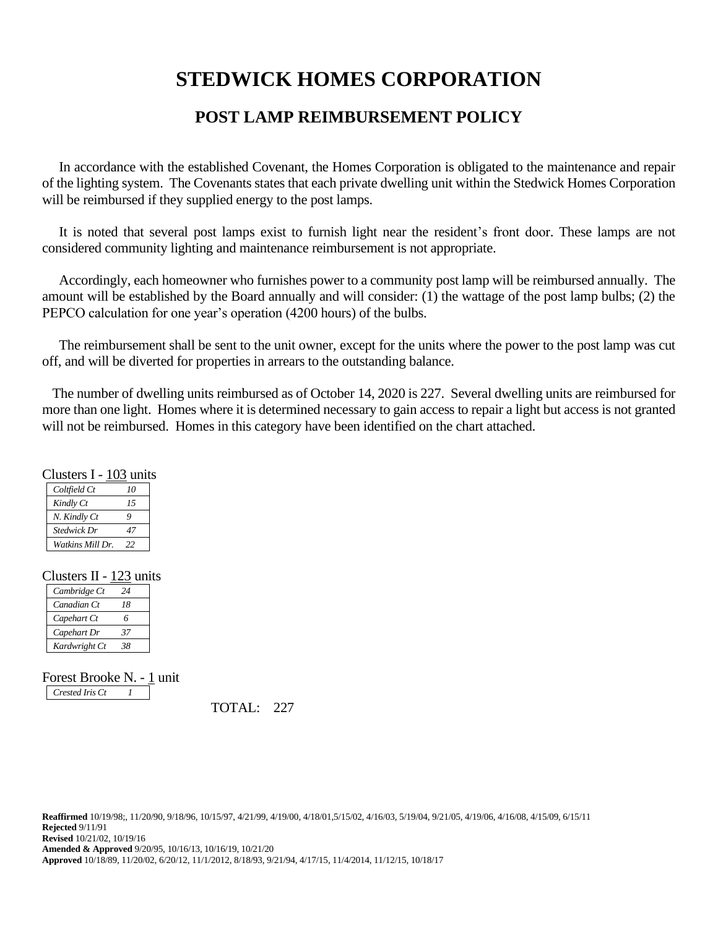# **STEDWICK HOMES CORPORATION**

## **POST LAMP REIMBURSEMENT POLICY**

 In accordance with the established Covenant, the Homes Corporation is obligated to the maintenance and repair of the lighting system. The Covenants states that each private dwelling unit within the Stedwick Homes Corporation will be reimbursed if they supplied energy to the post lamps.

 It is noted that several post lamps exist to furnish light near the resident's front door. These lamps are not considered community lighting and maintenance reimbursement is not appropriate.

 Accordingly, each homeowner who furnishes power to a community post lamp will be reimbursed annually. The amount will be established by the Board annually and will consider: (1) the wattage of the post lamp bulbs; (2) the PEPCO calculation for one year's operation (4200 hours) of the bulbs.

The reimbursement shall be sent to the unit owner, except for the units where the power to the post lamp was cut off, and will be diverted for properties in arrears to the outstanding balance.

 The number of dwelling units reimbursed as of October 14, 2020 is 227. Several dwelling units are reimbursed for more than one light. Homes where it is determined necessary to gain access to repair a light but access is not granted will not be reimbursed. Homes in this category have been identified on the chart attached.

| Clusters I - 103 units |  |  |
|------------------------|--|--|
|------------------------|--|--|

| Coltfield Ct     | 10 |
|------------------|----|
| Kindly Ct        | 15 |
| N. Kindly Ct     | Q  |
| Stedwick Dr      | 47 |
| Watkins Mill Dr. | 22 |

#### Clusters II - 123 units

| Cambridge Ct  | 24 |
|---------------|----|
| Canadian Ct   | 18 |
| Capehart Ct   | 6  |
| Capehart Dr   | 37 |
| Kardwright Ct | 38 |

Forest Brooke N. - 1 unit *Crested Iris Ct 1*

TOTAL: 227

**Reaffirmed** 10/19/98;, 11/20/90, 9/18/96, 10/15/97, 4/21/99, 4/19/00, 4/18/01,5/15/02, 4/16/03, 5/19/04, 9/21/05, 4/19/06, 4/16/08, 4/15/09, 6/15/11 **Rejected** 9/11/91 **Revised** 10/21/02, 10/19/16 **Amended & Approved** 9/20/95, 10/16/13, 10/16/19, 10/21/20 **Approved** 10/18/89, 11/20/02, 6/20/12, 11/1/2012, 8/18/93, 9/21/94, 4/17/15, 11/4/2014, 11/12/15, 10/18/17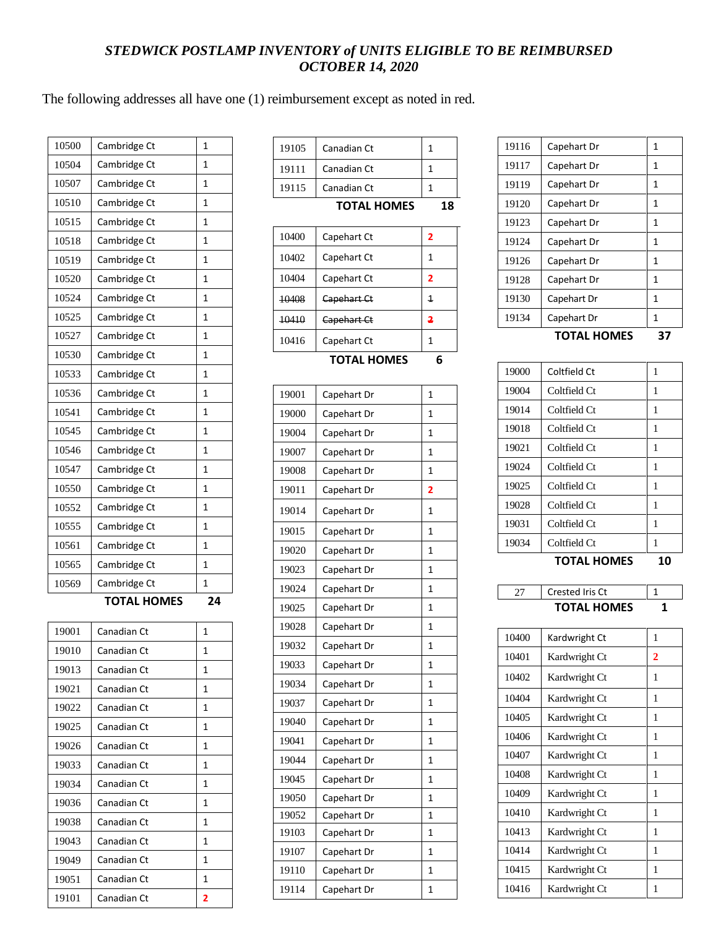### *STEDWICK POSTLAMP INVENTORY of UNITS ELIGIBLE TO BE REIMBURSED OCTOBER 14, 2020*

The following addresses all have one (1) reimbursement except as noted in red.

| 10500 | Cambridge Ct       | 1            |
|-------|--------------------|--------------|
| 10504 | Cambridge Ct       | 1            |
| 10507 | Cambridge Ct       | 1            |
| 10510 | Cambridge Ct       | 1            |
| 10515 | Cambridge Ct       | 1            |
| 10518 | Cambridge Ct       | 1            |
| 10519 | Cambridge Ct       | 1            |
| 10520 | Cambridge Ct       | 1            |
| 10524 | Cambridge Ct       | 1            |
| 10525 | Cambridge Ct       | 1            |
| 10527 | Cambridge Ct       | 1            |
| 10530 | Cambridge Ct       | 1            |
| 10533 | Cambridge Ct       | 1            |
| 10536 | Cambridge Ct       | 1            |
| 10541 | Cambridge Ct       | $\mathbf{1}$ |
| 10545 | Cambridge Ct       | $\mathbf{1}$ |
| 10546 | Cambridge Ct       | 1            |
| 10547 | Cambridge Ct       | 1            |
| 10550 | Cambridge Ct       | 1            |
| 10552 | Cambridge Ct       | 1            |
| 10555 | Cambridge Ct       | 1            |
| 10561 | Cambridge Ct       | 1            |
| 10565 | Cambridge Ct       | 1            |
| 10569 | Cambridge Ct       | 1            |
|       | <b>TOTAL HOMES</b> | 24           |
|       |                    |              |

19001 Canadian Ct  $10^{19}$ 19010 Canadian Ct 19013 Canadian Ct 1 19021 Canadian Ct 1 19022 Canadian Ct 19025 Canadian Ct 1 19026 Canadian Ct 1 19033 Canadian Ct 1 19034 Canadian Ct 1 19036 | Canadian Ct | 1 19038 Canadian Ct 1 19043 Canadian Ct 1 19049 Canadian Ct 1 19051 Canadian Ct 1 Canadian Ct **2**

| 19105 | Canadian Ct        | 1 |    |
|-------|--------------------|---|----|
| 19111 | Canadian Ct        |   |    |
| 19115 | Canadian Ct        |   |    |
|       |                    |   |    |
|       | <b>TOTAL HOMES</b> |   | 18 |
| 10400 | Capehart Ct        | 2 |    |

| 10 I V 20 | <b>00000000000</b> |   |
|-----------|--------------------|---|
| 10404     | Capehart Ct        | 2 |
| 10408     | Capehart Ct        | 1 |
| 10410     | Capehart Ct        | 2 |
| 10416     | Capehart Ct        | 1 |

**TOTAL HOMES 6**

| 19001 | Capehart Dr | 1              |
|-------|-------------|----------------|
| 19000 | Capehart Dr | $\mathbf{1}$   |
| 19004 | Capehart Dr | 1              |
| 19007 | Capehart Dr | 1              |
| 19008 | Capehart Dr | $\mathbf{1}$   |
| 19011 | Capehart Dr | 2              |
| 19014 | Capehart Dr | $\mathbf{1}$   |
| 19015 | Capehart Dr | $\mathbf{1}$   |
| 19020 | Capehart Dr | 1              |
| 19023 | Capehart Dr | 1              |
| 19024 | Capehart Dr | $\mathbf{1}$   |
| 19025 | Capehart Dr | $\mathbf{1}$   |
| 19028 | Capehart Dr | $\mathbf{1}$   |
| 19032 | Capehart Dr | 1              |
| 19033 | Capehart Dr | $\mathbf{1}$   |
| 19034 | Capehart Dr | 1              |
| 19037 | Capehart Dr | $\mathbf{1}$   |
| 19040 | Capehart Dr | $\mathbf{1}$   |
| 19041 | Capehart Dr | $\mathbf{1}$   |
| 19044 | Capehart Dr | $\mathbf{1}$   |
| 19045 | Capehart Dr | 1              |
| 19050 | Capehart Dr | $\mathbf{1}$   |
| 19052 | Capehart Dr | $\overline{1}$ |
| 19103 | Capehart Dr | 1              |
| 19107 | Capehart Dr | $\mathbf{1}$   |
| 19110 | Capehart Dr | 1              |
| 19114 | Capehart Dr | 1              |
|       |             |                |

|       | <b>TOTAL HOMES</b> |   |
|-------|--------------------|---|
| 19134 | Capehart Dr        | 1 |
| 19130 | Capehart Dr        | 1 |
| 19128 | Capehart Dr        | 1 |
| 19126 | Capehart Dr        | 1 |
| 19124 | Capehart Dr        | 1 |
| 19123 | Capehart Dr        | 1 |
| 19120 | Capehart Dr        | 1 |
| 19119 | Capehart Dr        | 1 |
| 19117 | Capehart Dr        | 1 |
| 19116 | Capehart Dr        | 1 |

| 10 |
|----|
|    |
|    |
|    |
|    |
|    |
|    |
|    |
|    |
|    |
|    |
|    |



| 10400 | Kardwright Ct | 1 |
|-------|---------------|---|
| 10401 | Kardwright Ct | 2 |
| 10402 | Kardwright Ct | 1 |
| 10404 | Kardwright Ct | 1 |
| 10405 | Kardwright Ct | 1 |
| 10406 | Kardwright Ct | 1 |
| 10407 | Kardwright Ct | 1 |
| 10408 | Kardwright Ct | 1 |
| 10409 | Kardwright Ct | 1 |
| 10410 | Kardwright Ct | 1 |
| 10413 | Kardwright Ct | 1 |
| 10414 | Kardwright Ct | 1 |
| 10415 | Kardwright Ct | 1 |
| 10416 | Kardwright Ct | 1 |